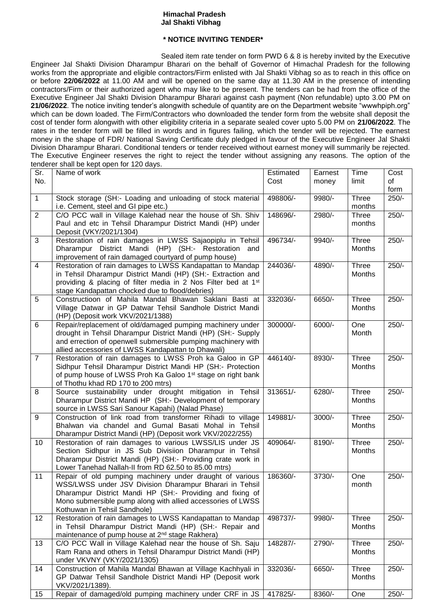## **Himachal Pradesh Jal Shakti Vibhag**

## **\* NOTICE INVITING TENDER\***

Sealed item rate tender on form PWD 6 & 8 is hereby invited by the Executive Engineer Jal Shakti Division Dharampur Bharari on the behalf of Governor of Himachal Pradesh for the following works from the appropriate and eligible contractors/Firm enlisted with Jal Shakti Vibhag so as to reach in this office on or before **22/06/2022** at 11.00 AM and will be opened on the same day at 11.30 AM in the presence of intending contractors/Firm or their authorized agent who may like to be present. The tenders can be had from the office of the Executive Engineer Jal Shakti Division Dharampur Bharari against cash payment (Non refundable) upto 3.00 PM on **21/06/2022**. The notice inviting tender's alongwith schedule of quantity are on the Department website "wwwhpiph.org" which can be down loaded. The Firm/Contractors who downloaded the tender form from the website shall deposit the cost of tender form alongwith with other eligibility criteria in a separate sealed cover upto 5.00 PM on **21/06/2022**. The rates in the tender form will be filled in words and in figures failing, which the tender will be rejected. The earnest money in the shape of FDR/ National Saving Certificate duly pledged in favour of the Executive Engineer Jal Shakti Division Dharampur Bharari. Conditional tenders or tender received without earnest money will summarily be rejected. The Executive Engineer reserves the right to reject the tender without assigning any reasons. The option of the tenderer shall be kept open for 120 days.

| Sr.            | Name of work                                                                                                                               | Estimated | Earnest | Time                   | Cost    |
|----------------|--------------------------------------------------------------------------------------------------------------------------------------------|-----------|---------|------------------------|---------|
| No.            |                                                                                                                                            | Cost      | money   | limit                  | of      |
|                |                                                                                                                                            |           |         |                        | form    |
| 1              | Stock storage (SH:- Loading and unloading of stock material<br>i.e. Cement, steel and GI pipe etc.)                                        | 498806/-  | 9980/-  | <b>Three</b><br>months | $250/-$ |
| $\overline{2}$ | C/O PCC wall in Village Kalehad near the house of Sh. Shiv                                                                                 | 148696/-  | 2980/-  | Three                  | $250/-$ |
|                | Paul and etc in Tehsil Dharampur District Mandi (HP) under                                                                                 |           |         | months                 |         |
|                | Deposit (VKY/2021/1304)                                                                                                                    |           |         |                        |         |
| 3              | Restoration of rain damages in LWSS Sajaopiplu in Tehsil                                                                                   | 496734/-  | 9940/-  | Three                  | $250/-$ |
|                | Dharampur District Mandi (HP) (SH:- Restoration and                                                                                        |           |         | <b>Months</b>          |         |
|                | improvement of rain damaged courtyard of pump house)                                                                                       |           |         |                        |         |
| $\overline{4}$ | Restoration of rain damages to LWSS Kandapattan to Mandap                                                                                  | 244036/-  | 4890/-  | Three<br>Months        | $250/-$ |
|                | in Tehsil Dharampur District Mandi (HP) (SH:- Extraction and<br>providing & placing of filter media in 2 Nos Filter bed at 1 <sup>st</sup> |           |         |                        |         |
|                | stage Kandapattan chocked due to flood/debries)                                                                                            |           |         |                        |         |
| 5              | Constructioon of Mahila Mandal Bhawan Saklani Basti at                                                                                     | 332036/-  | 6650/-  | Three                  | $250/-$ |
|                | Village Datwar in GP Datwar Tehsil Sandhole District Mandi                                                                                 |           |         | Months                 |         |
|                | (HP) (Deposit work VKV/2021/1388)                                                                                                          |           |         |                        |         |
| 6              | Repair/replacement of old/damaged pumping machinery under                                                                                  | 300000/-  | 6000/-  | One                    | $250/-$ |
|                | drought in Tehsil Dharampur District Mandi (HP) (SH:- Supply                                                                               |           |         | Month                  |         |
|                | and errection of openwell submersible pumping machinery with<br>allied accessories of LWSS Kandapattan to Dhawali)                         |           |         |                        |         |
| $\overline{7}$ | Restoration of rain damages to LWSS Proh ka Galoo in GP                                                                                    | 446140/-  | 8930/-  | Three                  | $250/-$ |
|                | Sidhpur Tehsil Dharampur District Mandi HP (SH:- Protection                                                                                |           |         | Months                 |         |
|                | of pump house of LWSS Proh Ka Galoo 1 <sup>st</sup> stage on right bank                                                                    |           |         |                        |         |
|                | of Thothu khad RD 170 to 200 mtrs)                                                                                                         |           |         |                        |         |
| 8              | Source sustainability under drought mitigation in Tehsil                                                                                   | 313651/-  | 6280/-  | Three                  | $250/-$ |
|                | Dharampur District Mandi HP (SH:- Development of temporary                                                                                 |           |         | Months                 |         |
| 9              | source in LWSS Sari Sanour Kapahi) (Nalad Phase)                                                                                           | 149881/-  | 3000/-  | Three                  | $250/-$ |
|                | Construction of link road from transformer Rihadi to village<br>Bhalwan via chandel and Gumal Basati Mohal in Tehsil                       |           |         | Months                 |         |
|                | Dharampur District Mandi (HP) (Deposit work VKV/2022/255)                                                                                  |           |         |                        |         |
| 10             | Restoration of rain damages to various LWSS/LIS under JS                                                                                   | 409064/-  | 8190/-  | Three                  | $250/-$ |
|                | Section Sidhpur in JS Sub Divisiion Dharampur in Tehsil                                                                                    |           |         | Months                 |         |
|                | Dharampur District Mandi (HP) (SH:- Providing crate work in                                                                                |           |         |                        |         |
|                | Lower Tanehad Nallah-II from RD 62.50 to 85.00 mtrs)                                                                                       |           |         |                        |         |
| 11             | Repair of old pumping machinery under draught of various                                                                                   | 186360/-  | 3730/-  | One                    | $250/-$ |
|                | WSS/LWSS under JSV Division Dharampur Bharari in Tehsil<br>Dharampur District Mandi HP (SH:- Providing and fixing of                       |           |         | month                  |         |
|                | Mono submersible pump along with allied accessories of LWSS                                                                                |           |         |                        |         |
|                | Kothuwan in Tehsil Sandhole)                                                                                                               |           |         |                        |         |
| 12             | Restoration of rain damages to LWSS Kandapattan to Mandap                                                                                  | 498737/-  | 9980/-  | Three                  | $250/-$ |
|                | in Tehsil Dharampur District Mandi (HP) (SH:- Repair and                                                                                   |           |         | Months                 |         |
|                | maintenance of pump house at 2 <sup>nd</sup> stage Rakhera)                                                                                |           |         |                        |         |
| 13             | C/O PCC Wall in Village Kalehad near the house of Sh. Saju                                                                                 | 148287/-  | 2790/-  | Three                  | $250/-$ |
|                | Ram Rana and others in Tehsil Dharampur District Mandi (HP)<br>under VKVNY (VKY/2021/1305)                                                 |           |         | Months                 |         |
| 14             | Construction of Mahila Mandal Bhawan at Village Kachhyali in                                                                               | 332036/-  | 6650/-  | Three                  | $250/-$ |
|                | GP Datwar Tehsil Sandhole District Mandi HP (Deposit work                                                                                  |           |         | Months                 |         |
|                | VKV/2021/1389).                                                                                                                            |           |         |                        |         |
| 15             | Repair of damaged/old pumping machinery under CRF in JS                                                                                    | 417825/-  | 8360/-  | One                    | $250/-$ |